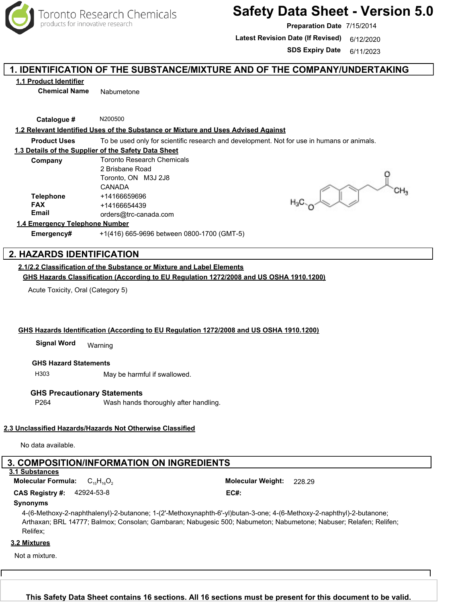

# **Safety Data Sheet - Version 5.0**

**Preparation Date** 7/15/2014

Latest Revision Date (If Revised) 6/12/2020

**SDS Expiry Date** 6/11/2023

## **1. IDENTIFICATION OF THE SUBSTANCE/MIXTURE AND OF THE COMPANY/UNDERTAKING**

**1.1 Product Identifier**

**Chemical Name** Nabumetone

**Catalogue #** N200500

### **1.2 Relevant Identified Uses of the Substance or Mixture and Uses Advised Against**

**Product Uses** To be used only for scientific research and development. Not for use in humans or animals.

#### **1.3 Details of the Supplier of the Safety Data Sheet**

| Company          | <b>Toronto Research Chemicals</b><br>2 Brisbane Road |  |  |
|------------------|------------------------------------------------------|--|--|
|                  |                                                      |  |  |
|                  | Toronto, ON M3J 2J8                                  |  |  |
|                  | CANADA                                               |  |  |
| <b>Telephone</b> | +14166659696                                         |  |  |
| <b>FAX</b>       | +14166654439                                         |  |  |
| <b>Email</b>     | orders@trc-canada.com                                |  |  |

## **1.4 Emergency Telephone Number**

**Emergency#** +1(416) 665-9696 between 0800-1700 (GMT-5)

## **2. HAZARDS IDENTIFICATION**

## **2.1/2.2 Classification of the Substance or Mixture and Label Elements**

**GHS Hazards Classification (According to EU Regulation 1272/2008 and US OSHA 1910.1200)**

Acute Toxicity, Oral (Category 5)

#### **GHS Hazards Identification (According to EU Regulation 1272/2008 and US OSHA 1910.1200)**

Warning **Signal Word**

#### **GHS Hazard Statements**

H303 May be harmful if swallowed.

#### **GHS Precautionary Statements**

P264 Wash hands thoroughly after handling.

#### **2.3 Unclassified Hazards/Hazards Not Otherwise Classified**

No data available.

## **3. COMPOSITION/INFORMATION ON INGREDIENTS**

**3.1 Substances**

**Molecular Formula:** C<sub>15</sub>H<sub>16</sub>O<sub>2</sub> Molecular Weight: 228.29

42924-53-8 **CAS Registry #: EC#:**

#### **Synonyms**

4-(6-Methoxy-2-naphthalenyl)-2-butanone; 1-(2'-Methoxynaphth-6'-yl)butan-3-one; 4-(6-Methoxy-2-naphthyl)-2-butanone; Arthaxan; BRL 14777; Balmox; Consolan; Gambaran; Nabugesic 500; Nabumeton; Nabumetone; Nabuser; Relafen; Relifen; Relifex;

#### **3.2 Mixtures**

Not a mixture.

Toronto Research Chemicals - N200500 Page <sup>1</sup> **This Safety Data Sheet contains 16 sections. All 16 sections must be present for this document to be valid.**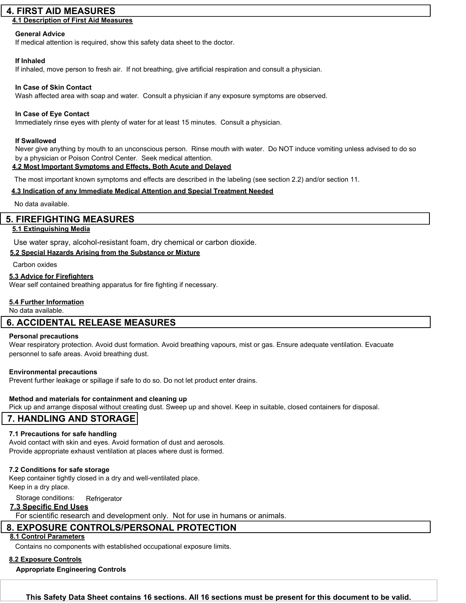## **4. FIRST AID MEASURES**

## **4.1 Description of First Aid Measures**

#### **General Advice**

If medical attention is required, show this safety data sheet to the doctor.

#### **If Inhaled**

If inhaled, move person to fresh air. If not breathing, give artificial respiration and consult a physician.

## **In Case of Skin Contact**

Wash affected area with soap and water. Consult a physician if any exposure symptoms are observed.

### **In Case of Eye Contact**

Immediately rinse eyes with plenty of water for at least 15 minutes. Consult a physician.

#### **If Swallowed**

Never give anything by mouth to an unconscious person. Rinse mouth with water. Do NOT induce vomiting unless advised to do so by a physician or Poison Control Center. Seek medical attention.

## **4.2 Most Important Symptoms and Effects, Both Acute and Delayed**

The most important known symptoms and effects are described in the labeling (see section 2.2) and/or section 11.

## **4.3 Indication of any Immediate Medical Attention and Special Treatment Needed**

No data available.

## **5. FIREFIGHTING MEASURES**

## **5.1 Extinguishing Media**

Use water spray, alcohol-resistant foam, dry chemical or carbon dioxide.

## **5.2 Special Hazards Arising from the Substance or Mixture**

Carbon oxides

#### **5.3 Advice for Firefighters**

Wear self contained breathing apparatus for fire fighting if necessary.

## **5.4 Further Information**

No data available.

## **6. ACCIDENTAL RELEASE MEASURES**

#### **Personal precautions**

Wear respiratory protection. Avoid dust formation. Avoid breathing vapours, mist or gas. Ensure adequate ventilation. Evacuate personnel to safe areas. Avoid breathing dust.

#### **Environmental precautions**

Prevent further leakage or spillage if safe to do so. Do not let product enter drains.

#### **Method and materials for containment and cleaning up**

Pick up and arrange disposal without creating dust. Sweep up and shovel. Keep in suitable, closed containers for disposal.

## **7. HANDLING AND STORAGE**

#### **7.1 Precautions for safe handling**

Avoid contact with skin and eyes. Avoid formation of dust and aerosols. Provide appropriate exhaust ventilation at places where dust is formed.

#### **7.2 Conditions for safe storage**

Keep container tightly closed in a dry and well-ventilated place. Keep in a dry place.

Storage conditions: Refrigerator

## **7.3 Specific End Uses**

For scientific research and development only. Not for use in humans or animals.

## **8. EXPOSURE CONTROLS/PERSONAL PROTECTION**

### **8.1 Control Parameters**

Contains no components with established occupational exposure limits.

## **8.2 Exposure Controls**

**Appropriate Engineering Controls**

Toronto Research Chemicals - N200500 Page <sup>2</sup> **This Safety Data Sheet contains 16 sections. All 16 sections must be present for this document to be valid.**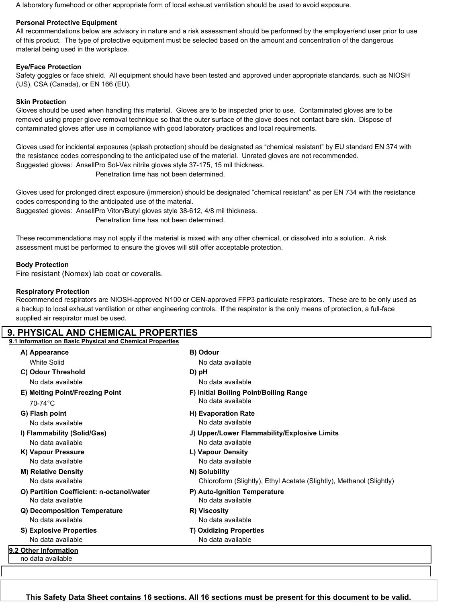A laboratory fumehood or other appropriate form of local exhaust ventilation should be used to avoid exposure.

## **Personal Protective Equipment**

All recommendations below are advisory in nature and a risk assessment should be performed by the employer/end user prior to use of this product. The type of protective equipment must be selected based on the amount and concentration of the dangerous material being used in the workplace.

## **Eye/Face Protection**

Safety goggles or face shield. All equipment should have been tested and approved under appropriate standards, such as NIOSH (US), CSA (Canada), or EN 166 (EU).

### **Skin Protection**

Gloves should be used when handling this material. Gloves are to be inspected prior to use. Contaminated gloves are to be removed using proper glove removal technique so that the outer surface of the glove does not contact bare skin. Dispose of contaminated gloves after use in compliance with good laboratory practices and local requirements.

Gloves used for incidental exposures (splash protection) should be designated as "chemical resistant" by EU standard EN 374 with the resistance codes corresponding to the anticipated use of the material. Unrated gloves are not recommended. Suggested gloves: AnsellPro Sol-Vex nitrile gloves style 37-175, 15 mil thickness. Penetration time has not been determined.

Gloves used for prolonged direct exposure (immersion) should be designated "chemical resistant" as per EN 734 with the resistance codes corresponding to the anticipated use of the material.

Suggested gloves: AnsellPro Viton/Butyl gloves style 38-612, 4/8 mil thickness.

Penetration time has not been determined.

These recommendations may not apply if the material is mixed with any other chemical, or dissolved into a solution. A risk assessment must be performed to ensure the gloves will still offer acceptable protection.

## **Body Protection**

Fire resistant (Nomex) lab coat or coveralls.

## **Respiratory Protection**

Recommended respirators are NIOSH-approved N100 or CEN-approved FFP3 particulate respirators. These are to be only used as a backup to local exhaust ventilation or other engineering controls. If the respirator is the only means of protection, a full-face supplied air respirator must be used.

## **9. PHYSICAL AND CHEMICAL PROPERTIES**

**9.1 Information on Basic Physical and Chemical Properties**

| A) Appearance                                                  | B) Odour                                                                              |
|----------------------------------------------------------------|---------------------------------------------------------------------------------------|
| <b>White Solid</b>                                             | No data available                                                                     |
| C) Odour Threshold                                             | D) pH                                                                                 |
| No data available                                              | No data available                                                                     |
| E) Melting Point/Freezing Point<br>$70-74$ °C                  | F) Initial Boiling Point/Boiling Range<br>No data available                           |
| G) Flash point<br>No data available                            | H) Evaporation Rate<br>No data available                                              |
| I) Flammability (Solid/Gas)<br>No data available               | J) Upper/Lower Flammability/Explosive Limits<br>No data available                     |
| K) Vapour Pressure<br>No data available                        | L) Vapour Density<br>No data available                                                |
| <b>M) Relative Density</b><br>No data available                | N) Solubility<br>Chloroform (Slightly), Ethyl Acetate (Slightly), Methanol (Slightly) |
| O) Partition Coefficient: n-octanol/water<br>No data available | P) Auto-Ignition Temperature<br>No data available                                     |
| Q) Decomposition Temperature<br>No data available              | R) Viscosity<br>No data available                                                     |
| <b>S) Explosive Properties</b><br>No data available            | <b>T) Oxidizing Properties</b><br>No data available                                   |
| 9.2 Other Information<br>no data available                     |                                                                                       |

Toronto Research Chemicals - N200500 Page <sup>3</sup> **This Safety Data Sheet contains 16 sections. All 16 sections must be present for this document to be valid.**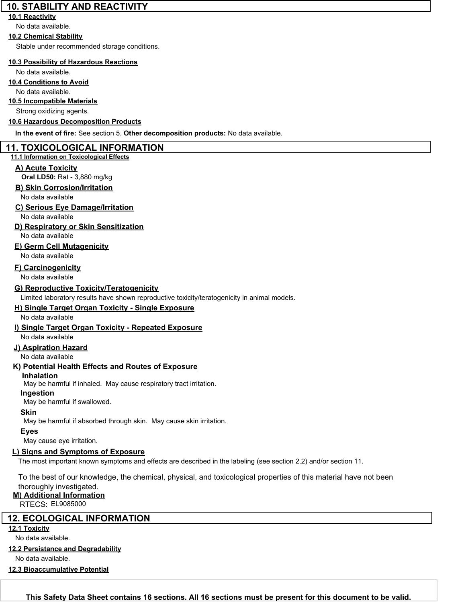## **10. STABILITY AND REACTIVITY**

### **10.1 Reactivity**

No data available.

## **10.2 Chemical Stability**

Stable under recommended storage conditions.

## **10.3 Possibility of Hazardous Reactions**

No data available.

## **10.4 Conditions to Avoid**

No data available.

## **10.5 Incompatible Materials**

Strong oxidizing agents.

## **10.6 Hazardous Decomposition Products**

**In the event of fire:** See section 5. **Other decomposition products:** No data available.

## **11. TOXICOLOGICAL INFORMATION**

## **11.1 Information on Toxicological Effects**

## **A) Acute Toxicity**

**Oral LD50:** Rat - 3,880 mg/kg

## **B) Skin Corrosion/Irritation**

No data available

## **C) Serious Eye Damage/Irritation**

No data available

## **D) Respiratory or Skin Sensitization**

No data available

## **E) Germ Cell Mutagenicity**

No data available

## **F) Carcinogenicity**

No data available

## **G) Reproductive Toxicity/Teratogenicity**

Limited laboratory results have shown reproductive toxicity/teratogenicity in animal models.

## **H) Single Target Organ Toxicity - Single Exposure**

No data available

## **I) Single Target Organ Toxicity - Repeated Exposure**

## No data available

**J) Aspiration Hazard**

No data available

## **K) Potential Health Effects and Routes of Exposure**

## **Inhalation**

May be harmful if inhaled. May cause respiratory tract irritation.

## **Ingestion**

May be harmful if swallowed.

## **Skin**

May be harmful if absorbed through skin. May cause skin irritation.

## **Eyes**

May cause eye irritation.

## **L) Signs and Symptoms of Exposure**

The most important known symptoms and effects are described in the labeling (see section 2.2) and/or section 11.

To the best of our knowledge, the chemical, physical, and toxicological properties of this material have not been thoroughly investigated.

## **M) Additional Information**

RTECS: EL9085000

## **12. ECOLOGICAL INFORMATION**

**12.1 Toxicity**

No data available.

## **12.2 Persistance and Degradability**

No data available.

## **12.3 Bioaccumulative Potential**

Toronto Research Chemicals - N200500 Page <sup>4</sup> **This Safety Data Sheet contains 16 sections. All 16 sections must be present for this document to be valid.**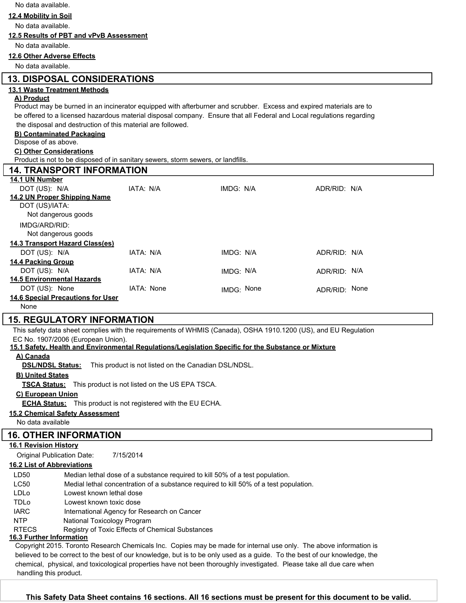No data available.

#### **12.4 Mobility in Soil**

No data available.

#### **12.5 Results of PBT and vPvB Assessment**

No data available.

#### **12.6 Other Adverse Effects**

No data available.

## **13. DISPOSAL CONSIDERATIONS**

#### **13.1 Waste Treatment Methods**

#### **A) Product**

Product may be burned in an incinerator equipped with afterburner and scrubber. Excess and expired materials are to be offered to a licensed hazardous material disposal company. Ensure that all Federal and Local regulations regarding the disposal and destruction of this material are followed.

#### **B) Contaminated Packaging**

Dispose of as above.

#### **C) Other Considerations**

Product is not to be disposed of in sanitary sewers, storm sewers, or landfills.

| <b>14. TRANSPORT INFORMATION</b>         |            |            |               |  |  |
|------------------------------------------|------------|------------|---------------|--|--|
| 14.1 UN Number                           |            |            |               |  |  |
| DOT (US): N/A                            | IATA: N/A  | IMDG: N/A  | ADR/RID: N/A  |  |  |
| 14.2 UN Proper Shipping Name             |            |            |               |  |  |
| DOT (US)/IATA:                           |            |            |               |  |  |
| Not dangerous goods                      |            |            |               |  |  |
| IMDG/ARD/RID:                            |            |            |               |  |  |
| Not dangerous goods                      |            |            |               |  |  |
| 14.3 Transport Hazard Class(es)          |            |            |               |  |  |
| DOT (US): N/A                            | IATA: N/A  | IMDG: N/A  | ADR/RID: N/A  |  |  |
| <b>14.4 Packing Group</b>                |            |            |               |  |  |
| DOT (US): N/A                            | IATA: N/A  | IMDG: N/A  | ADR/RID: N/A  |  |  |
| <b>14.5 Environmental Hazards</b>        |            |            |               |  |  |
| DOT (US): None                           | IATA: None | IMDG: None | ADR/RID: None |  |  |
| <b>14.6 Special Precautions for User</b> |            |            |               |  |  |
| None                                     |            |            |               |  |  |

## **15. REGULATORY INFORMATION**

This safety data sheet complies with the requirements of WHMIS (Canada), OSHA 1910.1200 (US), and EU Regulation EC No. 1907/2006 (European Union).

#### **15.1 Safety, Health and Environmental Regulations/Legislation Specific for the Substance or Mixture**

#### **A) Canada**

**DSL/NDSL Status:** This product is not listed on the Canadian DSL/NDSL.

#### **B) United States**

**TSCA Status:** This product is not listed on the US EPA TSCA.

#### **C) European Union**

**ECHA Status:** This product is not registered with the EU ECHA.

#### **15.2 Chemical Safety Assessment**

No data available

## **16. OTHER INFORMATION**

## **16.1 Revision History**

Original Publication Date: 7/15/2014

#### **16.2 List of Abbreviations**

| LD50                            | Median lethal dose of a substance required to kill 50% of a test population.          |  |  |  |
|---------------------------------|---------------------------------------------------------------------------------------|--|--|--|
| <b>LC50</b>                     | Medial lethal concentration of a substance required to kill 50% of a test population. |  |  |  |
| LDLo                            | Lowest known lethal dose                                                              |  |  |  |
| <b>TDLo</b>                     | Lowest known toxic dose                                                               |  |  |  |
| <b>IARC</b>                     | International Agency for Research on Cancer                                           |  |  |  |
| <b>NTP</b>                      | National Toxicology Program                                                           |  |  |  |
| <b>RTECS</b>                    | Registry of Toxic Effects of Chemical Substances                                      |  |  |  |
| <b>16.3 Eurthor Information</b> |                                                                                       |  |  |  |

#### **16.3 Further Information**

Copyright 2015. Toronto Research Chemicals Inc. Copies may be made for internal use only. The above information is believed to be correct to the best of our knowledge, but is to be only used as a guide. To the best of our knowledge, the chemical, physical, and toxicological properties have not been thoroughly investigated. Please take all due care when handling this product.

Toronto Research Chemicals - N200500 Page <sup>5</sup> **This Safety Data Sheet contains 16 sections. All 16 sections must be present for this document to be valid.**